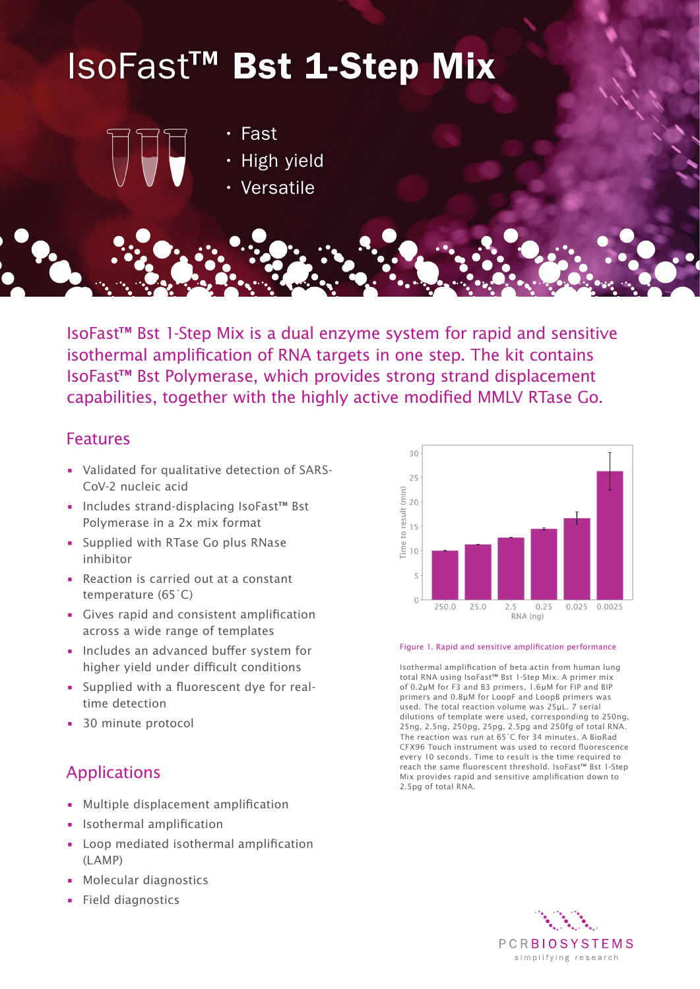# IsoFast™ Bst 1-Step Mix



- Fast
- High yield
- Versatile

IsoFast™ Bst 1-Step Mix is a dual enzyme system for rapid and sensitive isothermal amplification of RNA targets in one step. The kit contains IsoFast™ Bst Polymerase, which provides strong strand displacement capabilities, together with the highly active modified MMLV RTase Go.

# Features

- Validated for qualitative detection of SARS-CoV-2 nucleic acid
- Includes strand-displacing IsoFast™ Bst Polymerase in a 2x mix format
- Supplied with RTase Go plus RNase inhibitor
- Reaction is carried out at a constant temperature (65˚C)
- Gives rapid and consistent amplification across a wide range of templates
- Includes an advanced buffer system for higher yield under difficult conditions
- Supplied with a fluorescent dye for realtime detection
- 30 minute protocol

# Applications

- Multiple displacement amplification
- Isothermal amplification
- Loop mediated isothermal amplification (LAMP)
- Molecular diagnostics
- Field diagnostics



#### Figure 1. Rapid and sensitive amplification performance

Isothermal amplification of beta actin from human lung total RNA using IsoFast™ Bst 1-Step Mix. A primer mix of 0.2µM for F3 and B3 primers, 1.6µM for FIP and BIP primers and 0.8µM for LoopF and LoopB primers was used. The total reaction volume was 25µL. 7 serial dilutions of template were used, corresponding to 250ng, 25ng, 2.5ng, 250pg, 25pg, 2.5pg and 250fg of total RNA. The reaction was run at 65˚C for 34 minutes. A BioRad CFX96 Touch instrument was used to record fluorescence every 10 seconds. Time to result is the time required to reach the same fluorescent threshold. IsoFast™ Bst 1-Step Mix provides rapid and sensitive amplification down to 2.5pg of total RNA.